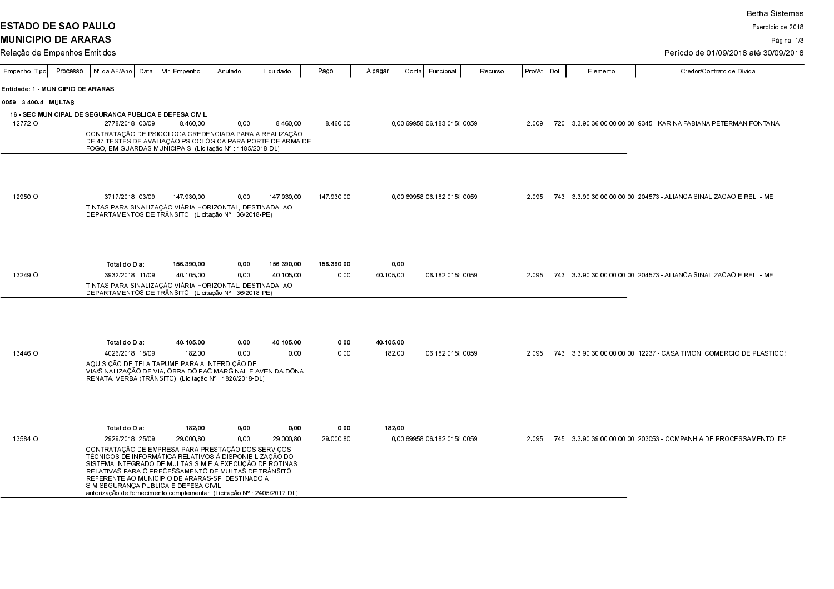**ESTADO DE SAO PAULO** 

Exercício de 2018

Página: 1/3

| Processo<br>Empenho Tipo          | Nº da AF/Ano<br>Data                                                                                                                                                                                                                                                                                                                                                                                    | Vir. Empenho | Anulado | Liquidado  | Pago       | A pagar   | Conta  Funcional            | Recurso | Pro/At Dot | Elemento | Credor/Contrato de Dívida                                           |
|-----------------------------------|---------------------------------------------------------------------------------------------------------------------------------------------------------------------------------------------------------------------------------------------------------------------------------------------------------------------------------------------------------------------------------------------------------|--------------|---------|------------|------------|-----------|-----------------------------|---------|------------|----------|---------------------------------------------------------------------|
| Entidade: 1 - MUNICIPIO DE ARARAS |                                                                                                                                                                                                                                                                                                                                                                                                         |              |         |            |            |           |                             |         |            |          |                                                                     |
| 0059 34004 MULTAS                 |                                                                                                                                                                                                                                                                                                                                                                                                         |              |         |            |            |           |                             |         |            |          |                                                                     |
|                                   | <b>16 - SEC MUNICIPAL DE SEGURANCA PUBLICA E DEFESA CIVIL</b>                                                                                                                                                                                                                                                                                                                                           |              |         |            |            |           |                             |         |            |          |                                                                     |
| 12772 O                           | 2778/2018 03/09                                                                                                                                                                                                                                                                                                                                                                                         | 8.460.00     | 0.00    | 8.460.00   | 8.460.00   |           | 0.00 69958 06 183 015 0059  |         | 2.009      |          | 720 3.3.90.36.00.00.00.00 9345 - KARINA FABIANA PETERMAN FONTANA    |
|                                   | CONTRATAÇÃO DE PSICOLOGA CREDENCIADA PARA A REALIZAÇÃO<br>DE 47 TESTÉS DE AVALIAÇÃO PSICOLÓGICA PARA PORTE DE ARMA DE<br>FOGO, EM GUARDAS MUNICIPAIS (Licitação Nº : 1185/2018-DL)                                                                                                                                                                                                                      |              |         |            |            |           |                             |         |            |          |                                                                     |
|                                   |                                                                                                                                                                                                                                                                                                                                                                                                         |              |         |            |            |           |                             |         |            |          |                                                                     |
| 12950 O                           | 3717/2018 03/09                                                                                                                                                                                                                                                                                                                                                                                         | 147 930 00   | 0.00    | 147 930 00 | 147.930.00 |           | 0.00 69958 06 182 015 0059  |         | 2.095      |          | 743 3.3.90.30.00.00.00.00 204573 - ALIANCA SINALIZACAO EIRELI - ME  |
|                                   | TINTAS PARA SINALIZAÇÃO VIÁRIA HORIZONTAL, DESTINADA  AO<br>DEPARTAMENTOS DE TRÂNSITO   (Licitação № ∶ 36/2018-PE)                                                                                                                                                                                                                                                                                      |              |         |            |            |           |                             |         |            |          |                                                                     |
|                                   |                                                                                                                                                                                                                                                                                                                                                                                                         |              |         |            |            |           |                             |         |            |          |                                                                     |
|                                   | Total do Dia:                                                                                                                                                                                                                                                                                                                                                                                           | 156 390 00   | 0,00    | 156 390 00 | 156 390 00 | 0,00      |                             |         |            |          |                                                                     |
| 13249 O                           | 3932/2018 11/09<br>TINTAS PARA SINALIZAÇÃO VIÁRIA HORIZONTAL, DESTINADA AO<br>DEPARTAMENTOS DE TRÂNSITO (Licitação Nº : 36/2018 PE)                                                                                                                                                                                                                                                                     | 40.105.00    | 0,00    | 40.105.00  | 0,00       | 40.105.00 | 06.182.015 {0059            |         | 2.095      |          | 743 3.3.90.30.00.00.00.00 204573 - ALIANCA SINALIZACAO EIRELI - ME  |
|                                   |                                                                                                                                                                                                                                                                                                                                                                                                         |              |         |            |            |           |                             |         |            |          |                                                                     |
|                                   | Total do Dia:                                                                                                                                                                                                                                                                                                                                                                                           | 40 105 00    | 0,00    | 40.105,00  | 0,00       | 40.105.00 |                             |         |            |          |                                                                     |
| 13446 O                           | 4026/2018 18/09                                                                                                                                                                                                                                                                                                                                                                                         | 182.00       | 0,00    | 0.00       | 0.00       | 182,00    | 06 182 015  0059            |         | 2.095      |          | 743 3.3.90.30.00.00.00.00 12237 - CASA TIMONI COMERCIO DE PLASTICOS |
|                                   | AQUISIÇÃO DE TELA TAPUME PARA A INTERDIÇÃO DE<br>VIA/SINALIZAÇÃO DE VIA, OBRA DO PAC MARGINAL E AVENIDA DONA<br>RENATA, VERBA (TRÂNSITO) (Licitação Nº 1826/2018-DL)                                                                                                                                                                                                                                    |              |         |            |            |           |                             |         |            |          |                                                                     |
|                                   |                                                                                                                                                                                                                                                                                                                                                                                                         |              |         |            |            |           |                             |         |            |          |                                                                     |
|                                   | Total do Dia:                                                                                                                                                                                                                                                                                                                                                                                           | 182.00       | 0,00    | 0.00       | 0,00       | 182,00    |                             |         |            |          |                                                                     |
| 13584 O                           | 2929/2018 25/09                                                                                                                                                                                                                                                                                                                                                                                         | 29.000.80    | 0,00    | 29.000,80  | 29.000,80  |           | 0.00 69958 06 182 015  0059 |         | 2.095      |          | 745 3 3 90 39 00 00 00 00 203053 - COMPANHIA DE PROCESSAMENTO DE    |
|                                   | CONTRATAÇÃO DE EMPRESA PARA PRESTAÇÃO DOS SERVIÇOS<br>TÉCNICOS DE INFORMÁTICA RELATIVOS À DISPONIBILIZAÇÃO DO<br>SISTEMA INTEGRADO DE MULTAS SIM E A EXECUÇÃO DE ROTINAS<br>RELATIVAS PARA O PRECESSAMENTO DE MULTAS DE TRÂNSITO<br>REFERENTE AO MUNICÍPIO DE ARARAS-SP. DESTINADO A<br>S.M. SEGURANCA PUBLICA E DEFESA CIVIL<br>autorização de fornecimento complementar (Licitação Nº : 2405/2017-DL) |              |         |            |            |           |                             |         |            |          |                                                                     |
|                                   |                                                                                                                                                                                                                                                                                                                                                                                                         |              |         |            |            |           |                             |         |            |          |                                                                     |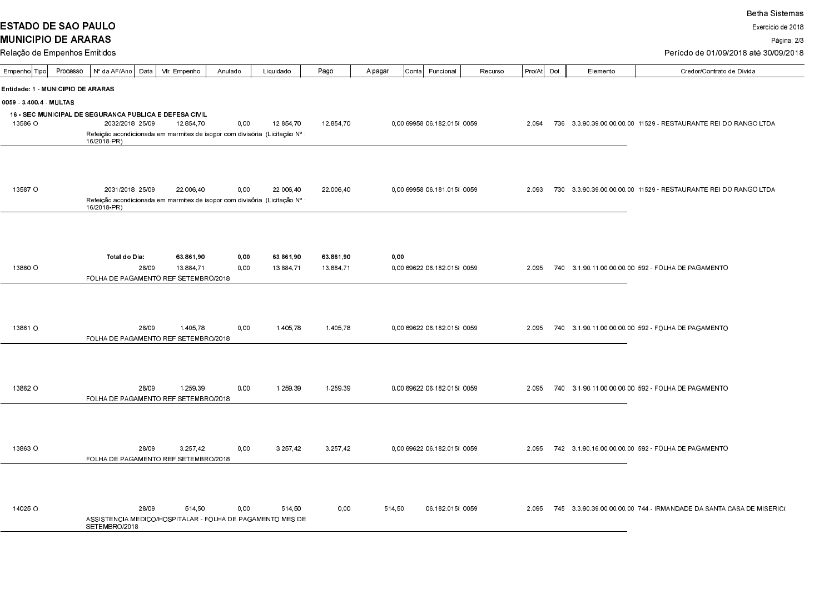**ESTADO DE SAO PAULO** 

Exercício de 2018

Página: 2/3

Período de 01/09/2018 até 30/09/2018

| Empenho Tipo                                                  | Processo                                                                                                                                                                             |             | Nº da AF/Ano | Data            |  | Vir. Empenho                         | Anulado |      | Liquidado                                                                  | Pago |           | A pagar                                                         | ∣Conta                      | Funcional        | Recurso | Pro/At | Dot. | Elemento | Credor/Contrato de Dívida                                           |
|---------------------------------------------------------------|--------------------------------------------------------------------------------------------------------------------------------------------------------------------------------------|-------------|--------------|-----------------|--|--------------------------------------|---------|------|----------------------------------------------------------------------------|------|-----------|-----------------------------------------------------------------|-----------------------------|------------------|---------|--------|------|----------|---------------------------------------------------------------------|
|                                                               | Entidade: 1 - MUNICIPIO DE ARARAS                                                                                                                                                    |             |              |                 |  |                                      |         |      |                                                                            |      |           |                                                                 |                             |                  |         |        |      |          |                                                                     |
| <b>0059 34004 MULTAS</b>                                      |                                                                                                                                                                                      |             |              |                 |  |                                      |         |      |                                                                            |      |           |                                                                 |                             |                  |         |        |      |          |                                                                     |
| <b>16 - SEC MUNICIPAL DE SEGURANCA PUBLICA E DEFESA CIVIL</b> |                                                                                                                                                                                      |             |              |                 |  |                                      |         |      |                                                                            |      |           |                                                                 |                             |                  |         |        |      |          |                                                                     |
| 13586 O                                                       | 2032/2018 25/09<br>12 854 70<br>0.00<br>12 854 70<br>12 854 70<br>0.00 69958 06 182 015  0059<br>2.094<br>Refeição acondicionada em marmitex de isopor com divisória (Licitação Nº : |             |              |                 |  |                                      |         |      |                                                                            |      |           | 736 3 3 90 39 00 00 00 00 11529 - RESTAURANTE REI DO RANGO LTDA |                             |                  |         |        |      |          |                                                                     |
|                                                               | 16/2018-PR)                                                                                                                                                                          |             |              |                 |  |                                      |         |      |                                                                            |      |           |                                                                 |                             |                  |         |        |      |          |                                                                     |
|                                                               |                                                                                                                                                                                      |             |              |                 |  |                                      |         |      |                                                                            |      |           |                                                                 |                             |                  |         |        |      |          |                                                                     |
|                                                               |                                                                                                                                                                                      |             |              |                 |  |                                      |         |      |                                                                            |      |           |                                                                 |                             |                  |         |        |      |          |                                                                     |
| 13587 O                                                       |                                                                                                                                                                                      |             |              | 2031/2018 25/09 |  | 22.006.40                            |         | 0,00 | 22.006,40                                                                  |      | 22.006.40 |                                                                 | 0.00 69958 06 181 015 0059  |                  |         | 2.093  |      |          | 730 3 3 90 39 00 00 00 00 11529 - RESTAURANTE REI DO RANGO LTDA     |
|                                                               |                                                                                                                                                                                      |             |              |                 |  |                                      |         |      | Refeição acondicionada em marmitex de isopor com divisória (Licitação Nº : |      |           |                                                                 |                             |                  |         |        |      |          |                                                                     |
|                                                               |                                                                                                                                                                                      | 16/2018-PR) |              |                 |  |                                      |         |      |                                                                            |      |           |                                                                 |                             |                  |         |        |      |          |                                                                     |
|                                                               |                                                                                                                                                                                      |             |              |                 |  |                                      |         |      |                                                                            |      |           |                                                                 |                             |                  |         |        |      |          |                                                                     |
|                                                               |                                                                                                                                                                                      |             |              |                 |  |                                      |         |      |                                                                            |      |           |                                                                 |                             |                  |         |        |      |          |                                                                     |
|                                                               |                                                                                                                                                                                      |             |              | Total do Dia:   |  | 63 861 90                            |         | 0,00 | 63 861 90                                                                  |      | 63 861,90 |                                                                 | 0,00                        |                  |         |        |      |          |                                                                     |
| 13860 O                                                       |                                                                                                                                                                                      |             |              | 28/09           |  | 13.884.71                            |         | 0,00 | 13.884.71                                                                  |      | 13.884.71 |                                                                 | 0.00 69622 06 182 015  0059 |                  |         |        |      |          | 2.095 740 3.1.90.11.00.00.00.00 592 - FOLHA DE PAGAMENTO            |
|                                                               |                                                                                                                                                                                      |             |              |                 |  | FOLHA DE PAGAMENTO REF SETEMBRO/2018 |         |      |                                                                            |      |           |                                                                 |                             |                  |         |        |      |          |                                                                     |
|                                                               |                                                                                                                                                                                      |             |              |                 |  |                                      |         |      |                                                                            |      |           |                                                                 |                             |                  |         |        |      |          |                                                                     |
|                                                               |                                                                                                                                                                                      |             |              |                 |  |                                      |         |      |                                                                            |      |           |                                                                 |                             |                  |         |        |      |          |                                                                     |
| 13861 O                                                       |                                                                                                                                                                                      |             |              | 28/09           |  | 1.405.78                             |         | 0.00 | 1.405,78                                                                   |      | 1.405,78  |                                                                 | 0,00 69622 06 182 015 0059  |                  |         |        |      |          | 2.095 740 3.1.90.11.00.00.00.00 592 - FOLHA DE PAGAMENTO            |
|                                                               |                                                                                                                                                                                      |             |              |                 |  | FOLHA DE PAGAMENTO REF SETEMBRO/2018 |         |      |                                                                            |      |           |                                                                 |                             |                  |         |        |      |          |                                                                     |
|                                                               |                                                                                                                                                                                      |             |              |                 |  |                                      |         |      |                                                                            |      |           |                                                                 |                             |                  |         |        |      |          |                                                                     |
|                                                               |                                                                                                                                                                                      |             |              |                 |  |                                      |         |      |                                                                            |      |           |                                                                 |                             |                  |         |        |      |          |                                                                     |
|                                                               |                                                                                                                                                                                      |             |              |                 |  |                                      |         |      |                                                                            |      |           |                                                                 |                             |                  |         |        |      |          |                                                                     |
| 13862 O                                                       |                                                                                                                                                                                      |             |              | 28/09           |  | 1.259.39                             |         | 0,00 | 1.259,39                                                                   |      | 1.259.39  |                                                                 | 0.00 69622 06 182 015  0059 |                  |         | 2.095  |      |          | 740 3.1.90.11.00.00.00.00 592 FOLHA DE PAGAMENTO                    |
|                                                               |                                                                                                                                                                                      |             |              |                 |  | FOLHA DE PAGAMENTO REF SETEMBRO/2018 |         |      |                                                                            |      |           |                                                                 |                             |                  |         |        |      |          |                                                                     |
|                                                               |                                                                                                                                                                                      |             |              |                 |  |                                      |         |      |                                                                            |      |           |                                                                 |                             |                  |         |        |      |          |                                                                     |
|                                                               |                                                                                                                                                                                      |             |              |                 |  |                                      |         |      |                                                                            |      |           |                                                                 |                             |                  |         |        |      |          |                                                                     |
| 13863 O                                                       |                                                                                                                                                                                      |             |              | 28/09           |  | 3.257.42                             |         | 0.00 | 3.257.42                                                                   |      | 3.257.42  |                                                                 | 0.00 69622 06 182 015  0059 |                  |         | 2.095  |      |          | 742 3.1.90.16.00.00.00.00 592 FOLHA DE PAGAMENTO                    |
|                                                               |                                                                                                                                                                                      |             |              |                 |  | FOLHA DE PAGAMENTO REF SETEMBRO/2018 |         |      |                                                                            |      |           |                                                                 |                             |                  |         |        |      |          |                                                                     |
|                                                               |                                                                                                                                                                                      |             |              |                 |  |                                      |         |      |                                                                            |      |           |                                                                 |                             |                  |         |        |      |          |                                                                     |
|                                                               |                                                                                                                                                                                      |             |              |                 |  |                                      |         |      |                                                                            |      |           |                                                                 |                             |                  |         |        |      |          |                                                                     |
|                                                               |                                                                                                                                                                                      |             |              |                 |  |                                      |         |      |                                                                            |      |           |                                                                 |                             |                  |         |        |      |          |                                                                     |
| 14025 O                                                       |                                                                                                                                                                                      |             |              | 28/09           |  | 514.50                               |         | 0.00 | 514,50<br>ASSISTENCIA MEDICO/HOSPITALAR - FOLHA DE PAGAMENTO MES DE        |      | 0.00      |                                                                 | 514,50                      | 06.182.015 {0059 |         | 2.095  |      |          | 745 3.3 90.39.00.00.00.00 744 - IRMANDADE DA SANTA CASA DE MISERICO |
|                                                               |                                                                                                                                                                                      |             |              | SETEMBRO/2018   |  |                                      |         |      |                                                                            |      |           |                                                                 |                             |                  |         |        |      |          |                                                                     |
|                                                               |                                                                                                                                                                                      |             |              |                 |  |                                      |         |      |                                                                            |      |           |                                                                 |                             |                  |         |        |      |          |                                                                     |